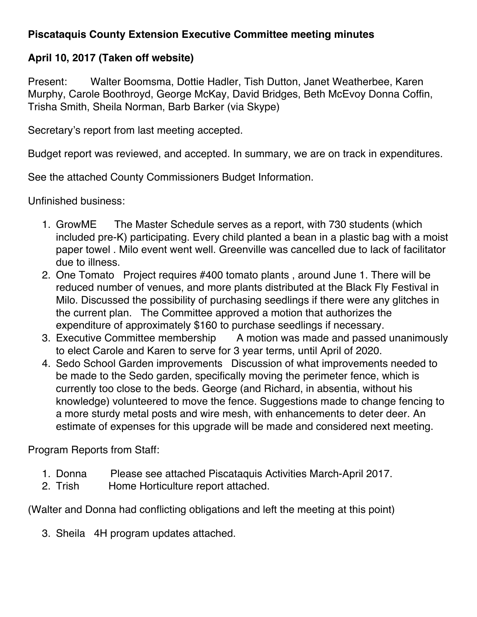## **Piscataquis County Extension Executive Committee meeting minutes**

## **April 10, 2017 (Taken off website)**

Present: Walter Boomsma, Dottie Hadler, Tish Dutton, Janet Weatherbee, Karen Murphy, Carole Boothroyd, George McKay, David Bridges, Beth McEvoy Donna Coffin, Trisha Smith, Sheila Norman, Barb Barker (via Skype)

Secretary's report from last meeting accepted.

Budget report was reviewed, and accepted. In summary, we are on track in expenditures.

See the attached County Commissioners Budget Information.

Unfinished business:

- 1. GrowME The Master Schedule serves as a report, with 730 students (which included pre-K) participating. Every child planted a bean in a plastic bag with a moist paper towel . Milo event went well. Greenville was cancelled due to lack of facilitator due to illness.
- 2. One Tomato Project requires #400 tomato plants , around June 1. There will be reduced number of venues, and more plants distributed at the Black Fly Festival in Milo. Discussed the possibility of purchasing seedlings if there were any glitches in the current plan. The Committee approved a motion that authorizes the expenditure of approximately \$160 to purchase seedlings if necessary.
- 3. Executive Committee membership A motion was made and passed unanimously to elect Carole and Karen to serve for 3 year terms, until April of 2020.
- 4. Sedo School Garden improvements Discussion of what improvements needed to be made to the Sedo garden, specifically moving the perimeter fence, which is currently too close to the beds. George (and Richard, in absentia, without his knowledge) volunteered to move the fence. Suggestions made to change fencing to a more sturdy metal posts and wire mesh, with enhancements to deter deer. An estimate of expenses for this upgrade will be made and considered next meeting.

Program Reports from Staff:

- 1. Donna Please see attached Piscataquis Activities March-April 2017.
- 2. Trish Home Horticulture report attached.

(Walter and Donna had conflicting obligations and left the meeting at this point)

3. Sheila 4H program updates attached.